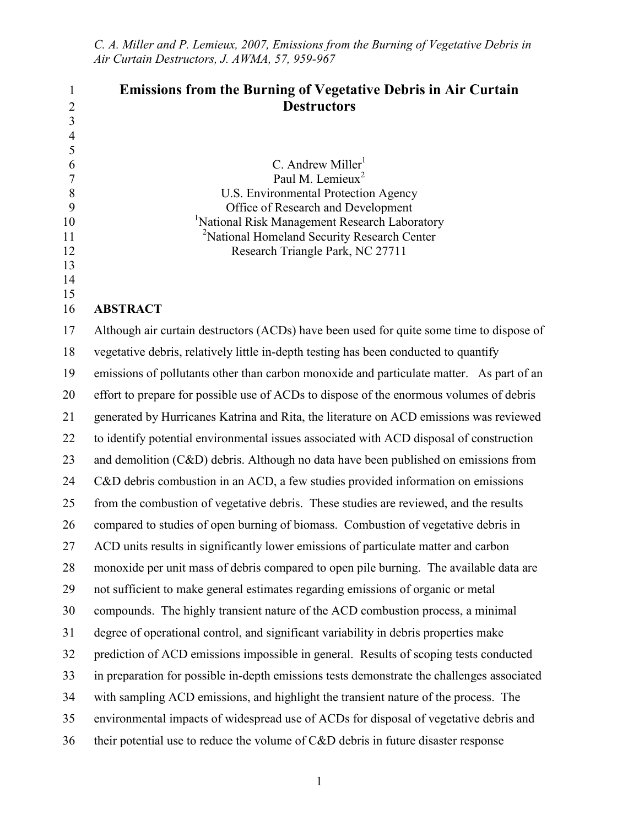*C. A. Miller and P. Lemieux, 2007, Emissions from the Burning of Vegetative Debris in Air Curtain Destructors, J. AWMA, 57, 959-967* 

| 1                                | <b>Emissions from the Burning of Vegetative Debris in Air Curtain</b>                                                |
|----------------------------------|----------------------------------------------------------------------------------------------------------------------|
| $\overline{2}$                   | <b>Destructors</b>                                                                                                   |
| $\mathfrak{Z}$<br>$\overline{4}$ |                                                                                                                      |
| 5                                |                                                                                                                      |
| $\boldsymbol{6}$<br>$\sqrt{ }$   | C. Andrew Miller <sup>1</sup><br>Paul M. Lemieux <sup>2</sup>                                                        |
| $\, 8$                           | U.S. Environmental Protection Agency                                                                                 |
| 9                                | Office of Research and Development                                                                                   |
| 10<br>11                         | <sup>1</sup> National Risk Management Research Laboratory<br><sup>2</sup> National Homeland Security Research Center |
| 12                               | Research Triangle Park, NC 27711                                                                                     |
| 13                               |                                                                                                                      |
| 14<br>15                         |                                                                                                                      |
| 16                               | <b>ABSTRACT</b>                                                                                                      |
| 17                               | Although air curtain destructors (ACDs) have been used for quite some time to dispose of                             |
| 18                               | vegetative debris, relatively little in-depth testing has been conducted to quantify                                 |
| 19                               | emissions of pollutants other than carbon monoxide and particulate matter. As part of an                             |
| 20                               | effort to prepare for possible use of ACDs to dispose of the enormous volumes of debris                              |
| 21                               | generated by Hurricanes Katrina and Rita, the literature on ACD emissions was reviewed                               |
| 22                               | to identify potential environmental issues associated with ACD disposal of construction                              |
| 23                               | and demolition (C&D) debris. Although no data have been published on emissions from                                  |
| 24                               | C&D debris combustion in an ACD, a few studies provided information on emissions                                     |
| 25                               | from the combustion of vegetative debris. These studies are reviewed, and the results                                |
| 26                               | compared to studies of open burning of biomass. Combustion of vegetative debris in                                   |
| 27                               | ACD units results in significantly lower emissions of particulate matter and carbon                                  |
| 28                               | monoxide per unit mass of debris compared to open pile burning. The available data are                               |
| 29                               | not sufficient to make general estimates regarding emissions of organic or metal                                     |
| 30                               | compounds. The highly transient nature of the ACD combustion process, a minimal                                      |
| 31                               | degree of operational control, and significant variability in debris properties make                                 |
| 32                               | prediction of ACD emissions impossible in general. Results of scoping tests conducted                                |
| 33                               | in preparation for possible in-depth emissions tests demonstrate the challenges associated                           |
| 34                               | with sampling ACD emissions, and highlight the transient nature of the process. The                                  |
| 35                               | environmental impacts of widespread use of ACDs for disposal of vegetative debris and                                |
| 36                               | their potential use to reduce the volume of C&D debris in future disaster response                                   |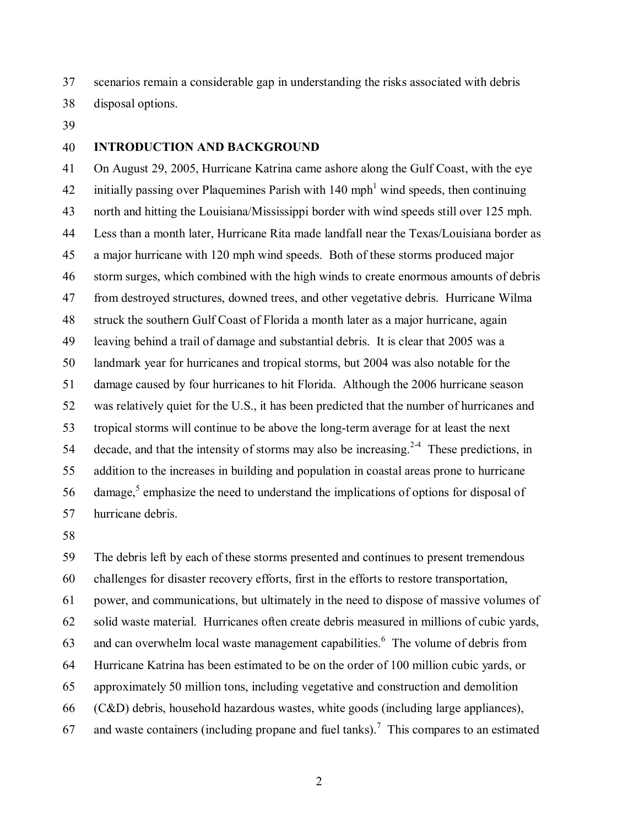scenarios remain a considerable gap in understanding the risks associated with debris 37

disposal options. 38

39

#### **INTRODUCTION AND BACKGROUND** 40

On August 29, 2005, Hurricane Katrina came ashore along the Gulf Coast, with the eye initially passing over Plaquemines Parish with  $140 \text{ mph}^1$  wind speeds, then continuing north and hitting the Louisiana/Mississippi border with wind speeds still over 125 mph. Less than a month later, Hurricane Rita made landfall near the Texas/Louisiana border as a major hurricane with 120 mph wind speeds. Both of these storms produced major storm surges, which combined with the high winds to create enormous amounts of debris from destroyed structures, downed trees, and other vegetative debris. Hurricane Wilma struck the southern Gulf Coast of Florida a month later as a major hurricane, again struck the southern Gulf Coast of Florida a month later as a major hurricane, again<br>leaving behind a trail of damage and substantial debris. It is clear that 2005 was a landmark year for hurricanes and tropical storms, but 2004 was also notable for the damage caused by four hurricanes to hit Florida. Although the 2006 hurricane season was relatively quiet for the U.S., it has been predicted that the number of hurricanes and tropical storms will continue to be above the long-term average for at least the next decade, and that the intensity of storms may also be increasing.<sup>24</sup> These predictions, in addition to the increases in building and population in coastal areas prone to hurricane damage, $<sup>5</sup>$  emphasize the need to understand the implications of options for disposal of</sup> hurricane debris. 41 42 43 44 45 46 47 48 49 50 51 52 53 54 55 56 57

58

The debris left by each of these storms presented and continues to present tremendous challenges for disaster recovery efforts, first in the efforts to restore transportation, power, and communications, but ultimately in the need to dispose of massive volumes of power, and communications, but ultimately in the need to dispose of massive volumes of solid waste material. Hurricanes often create debris measured in millions of cubic yards, and can overwhelm local waste management capabilities.<sup>6</sup> The volume of debris from Hurricane Katrina has been estimated to be on the order of 100 million cubic yards, or approximately 50 million tons, including vegetative and construction and demolition (C&D) debris, household hazardous wastes, white goods (including large appliances), and waste containers (including propane and fuel tanks).<sup>7</sup> This compares to an estimated 59 60 61 62 63 64 65 66 67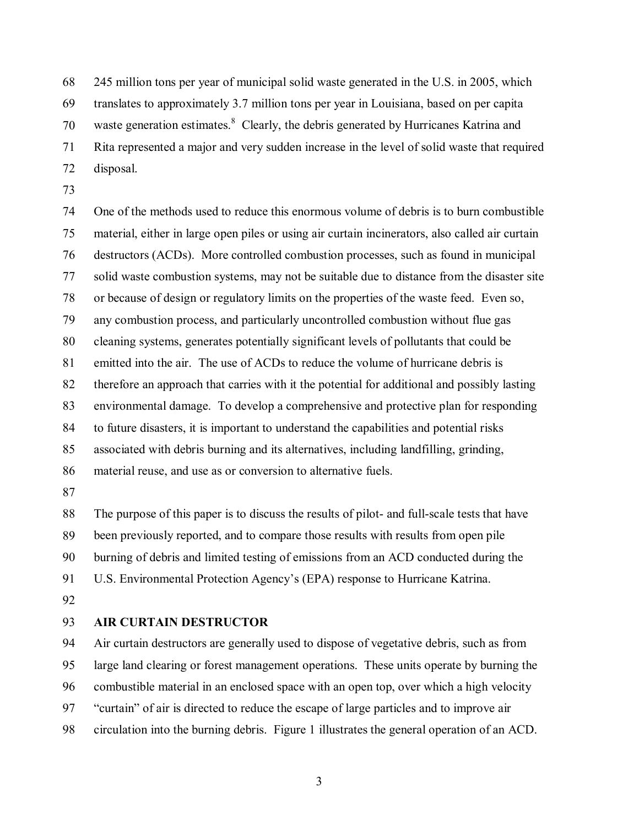245 million tons per year of municipal solid waste generated in the U.S. in 2005, which translates to approximately 3.7 million tons per year in Louisiana, based on per capita waste generation estimates.<sup>8</sup> Clearly, the debris generated by Hurricanes Katrina and Rita represented a major and very sudden increase in the level of solid waste that required disposal. 68 69 70 71 72

73

One of the methods used to reduce this enormous volume of debris is to burn combustible material, either in large open piles or using air curtain incinerators, also called air curtain material, either in large open piles or using air curtain incinerators, also called air curtain<br>destructors (ACDs). More controlled combustion processes, such as found in municipal solid waste combustion systems, may not be suitable due to distance from the disaster site solid waste combustion systems, may not be suitable due to distance from the disaster sit<br>or because of design or regulatory limits on the properties of the waste feed. Even so, or because of design or regulatory limits on the properties of the waste feed. Even so, any combustion process, and particularly uncontrolled combustion without flue gas any combustion process, and particularly uncontrolled combustion without flue gas cleaning systems, generates potentially significant levels of pollutants that could be emitted into the air. The use of ACDs to reduce the volume of hurricane debris is therefore an approach that carries with it the potential for additional and possibly lasting environmental damage. To develop a comprehensive and protective plan for responding to future disasters, it is important to understand the capabilities and potential risks associated with debris burning and its alternatives, including landfilling, grinding, material reuse, and use as or conversion to alternative fuels. 74 75 76 77 78 79 80 81 82 83 84 85 86

87

The purpose of this paper is to discuss the results of pilot- and full-scale tests that have The purpose of this paper is to discuss the results of pilot- and full-scale tests that has<br>been previously reported, and to compare those results with results from open pile 88

89

burning of debris and limited testing of emissions from an ACD conducted during the 90

U.S. Environmental Protection Agency's (EPA) response to Hurricane Katrina. 91

92

#### **AIR CURTAIN DESTRUCTOR** 93

Air curtain destructors are generally used to dispose of vegetative debris, such as from large land clearing or forest management operations. These units operate by burning the combustible material in an enclosed space with an open top, over which a high velocity "curtain" of air is directed to reduce the escape of large particles and to improve air circulation into the burning debris. Figure 1 illustrates the general operation of an ACD. 94 95 96 97 98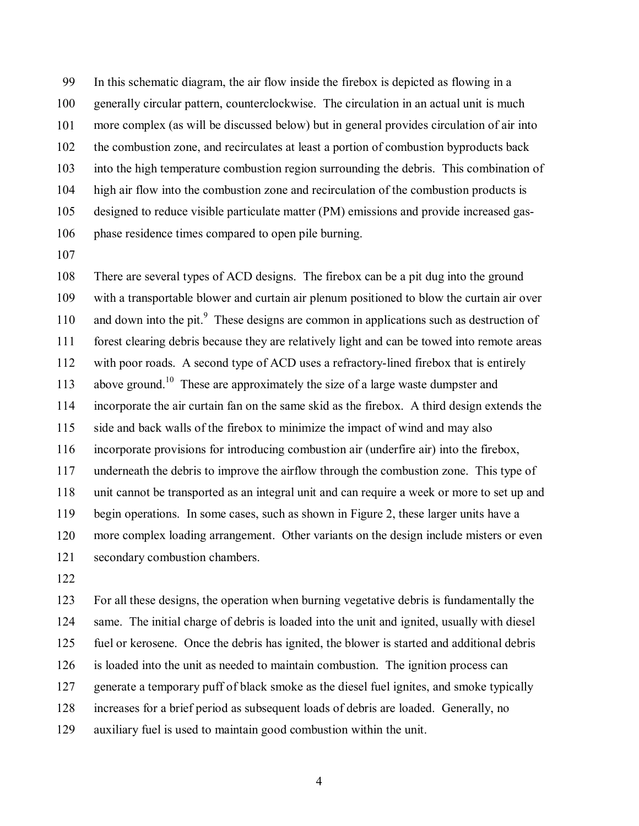In this schematic diagram, the air flow inside the firebox is depicted as flowing in a generally circular pattern, counterclockwise. The circulation in an actual unit is much more complex (as will be discussed below) but in general provides circulation of air into the combustion zone, and recirculates at least a portion of combustion byproducts back into the high temperature combustion region surrounding the debris. This combination of high air flow into the combustion zone and recirculation of the combustion products is designed to reduce visible particulate matter (PM) emissions and provide increased gas phase residence times compared to open pile burning. 99 100 101 102 103 104 105 106

107

There are several types of ACD designs. The firebox can be a pit dug into the ground with a transportable blower and curtain air plenum positioned to blow the curtain air over and down into the pit. $\degree$  These designs are common in applications such as destruction of forest clearing debris because they are relatively light and can be towed into remote areas with poor roads. A second type of ACD uses a refractory-lined firebox that is entirely above ground.<sup>10</sup> These are approximately the size of a large waste dumpster and incorporate the air curtain fan on the same skid as the firebox. A third design extends the side and back walls of the firebox to minimize the impact of wind and may also incorporate provisions for introducing combustion air (underfire air) into the firebox, underneath the debris to improve the airflow through the combustion zone. This type of unit cannot be transported as an integral unit and can require a week or more to set up and begin operations. In some cases, such as shown in Figure 2, these larger units have a more complex loading arrangement. Other variants on the design include misters or even secondary combustion chambers. 108 109 110 111 112 113 114 115 116 117 118 119 120 121

122

For all these designs, the operation when burning vegetative debris is fundamentally the same. The initial charge of debris is loaded into the unit and ignited, usually with diesel fuel or kerosene. Once the debris has ignited, the blower is started and additional debris is loaded into the unit as needed to maintain combustion. The ignition process can generate a temporary puff of black smoke as the diesel fuel ignites, and smoke typically generate a temporary puff of black smoke as the diesel fuel ignites, and smoke typical<br>increases for a brief period as subsequent loads of debris are loaded. Generally, no auxiliary fuel is used to maintain good combustion within the unit. 123 124 125 126 127 128 129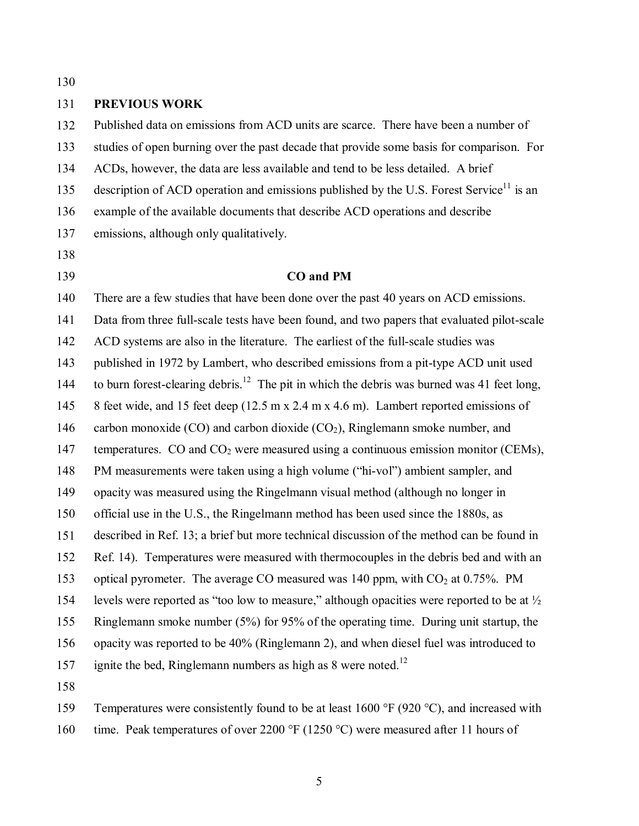#### **PREVIOUS WORK** 131

Published data on emissions from ACD units are scarce. There have been a number of 132

studies of open burning over the past decade that provide some basis for comparison. For 133

ACDs, however, the data are less available and tend to be less detailed. A brief 134

description of ACD operation and emissions published by the U.S. Forest Service<sup>11</sup> is an 135

example of the available documents that describe ACD operations and describe example of the available documents that emissions, although only qualitatively. 136

137

- 138
- 139

## **CO and PM**

There are a few studies that have been done over the past 40 years on ACD emissions. Data from three full-scale tests have been found, and two papers that evaluated pilot-scale ACD systems are also in the literature. The earliest of the full-scale studies was published in 1972 by Lambert, who described emissions from a pit-type ACD unit used to burn forest-clearing debris. <sup>12</sup> The pit in which the debris was burned was 41 feet long, 8 feet wide, and 15 feet deep (12.5 m x 2.4 m x 4.6 m). Lambert reported emissions of 8 feet wide, and 15 feet deep (12.5 m x 2.4 m x 4.6 m). Lambert reported emissions of carbon monoxide (CO) and carbon dioxide (CO<sub>2</sub>), Ringlemann smoke number, and temperatures. CO and  $CO<sub>2</sub>$  were measured using a continuous emission monitor (CEMs), PM measurements were taken using a high volume ("hi-vol") ambient sampler, and opacity was measured using the Ringelmann visual method (although no longer in official use in the U.S., the Ringelmann method has been used since the 1880s, as described in Ref. 13; a brief but more technical discussion of the method can be found in Ref. 14). Temperatures were measured with thermocouples in the debris bed and with an optical pyrometer. The average CO measured was 140 ppm, with  $CO<sub>2</sub>$  at 0.75%. PM levels were reported as "too low to measure," although opacities were reported to be at ½ levels were reported as "too low to measure," although opacities were reported to be at  $\frac{1}{2}$ <br>Ringlemann smoke number (5%) for 95% of the operating time. During unit startup, the Ringlemann smoke number  $(5\%)$  for 95% of the operating time. During unit startup, the opacity was reported to be 40% (Ringlemann 2), and when diesel fuel was introduced to ignite the bed, Ringlemann numbers as high as  $8$  were noted.<sup>12</sup> 140 141 142 143 144 145 146 147 148 149 150 151 152 153 154 155 156 157 158

Temperatures were consistently found to be at least 1600  $\degree$ F (920  $\degree$ C), and increased with time. Peak temperatures of over 2200 °F (1250 °C) were measured after 11 hours of 159 160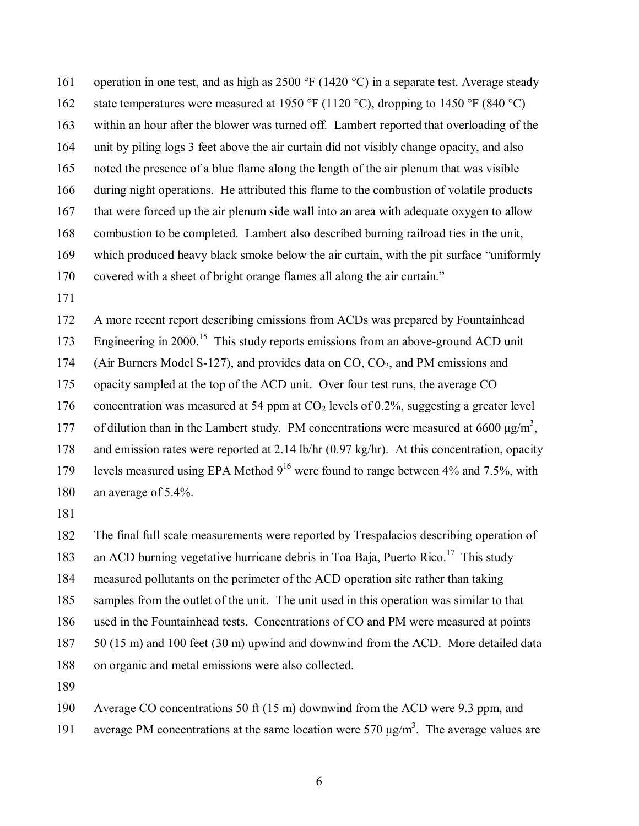operation in one test, and as high as 2500 °F (1420 °C) in a separate test. Average steady state temperatures were measured at 1950 °F (1120 °C), dropping to 1450 °F (840 °C) within an hour after the blower was turned off. Lambert reported that overloading of the unit by piling logs 3 feet above the air curtain did not visibly change opacity, and also noted the presence of a blue flame along the length of the air plenum that was visible during night operations. He attributed this flame to the combustion of volatile products that were forced up the air plenum side wall into an area with adequate oxygen to allow combustion to be completed. Lambert also described burning railroad ties in the unit, which produced heavy black smoke below the air curtain, with the pit surface "uniformly covered with a sheet of bright orange flames all along the air curtain." 161 162 163 164 165 166 167 168 169 170

171

A more recent report describing emissions from ACDs was prepared by Fountainhead Engineering in  $2000$ <sup>15</sup>. This study reports emissions from an above-ground ACD unit (Air Burners Model S-127), and provides data on  $CO$ ,  $CO<sub>2</sub>$ , and PM emissions and opacity sampled at the top of the ACD unit. Over four test runs, the average CO concentration was measured at 54 ppm at  $CO<sub>2</sub>$  levels of 0.2%, suggesting a greater level of dilution than in the Lambert study. PM concentrations were measured at 6600  $\mu$ g/m<sup>3</sup>, and emission rates were reported at 2.14 lb/hr (0.97 kg/hr). At this concentration, opacity levels measured using EPA Method  $9^{16}$  were found to range between 4% and 7.5%, with an average of 5.4%. 172 173 174 175 176 177 178 179 180

181

The final full scale measurements were reported by Trespalacios describing operation of an ACD burning vegetative hurricane debris in Toa Baja, Puerto Rico.<sup>17</sup> This study measured pollutants on the perimeter of the ACD operation site rather than taking samples from the outlet of the unit. The unit used in this operation was similar to that used in the Fountainhead tests. Concentrations of CO and PM were measured at points 50 (15 m) and 100 feet (30 m) upwind and downwind from the ACD. More detailed data on organic and metal emissions were also collected. 182 183 184 185 186 187 188

189

Average CO concentrations 50 ft (15 m) downwind from the ACD were 9.3 ppm, and average PM concentrations at the same location were 570  $\mu$ g/m<sup>3</sup>. The average values are 190 191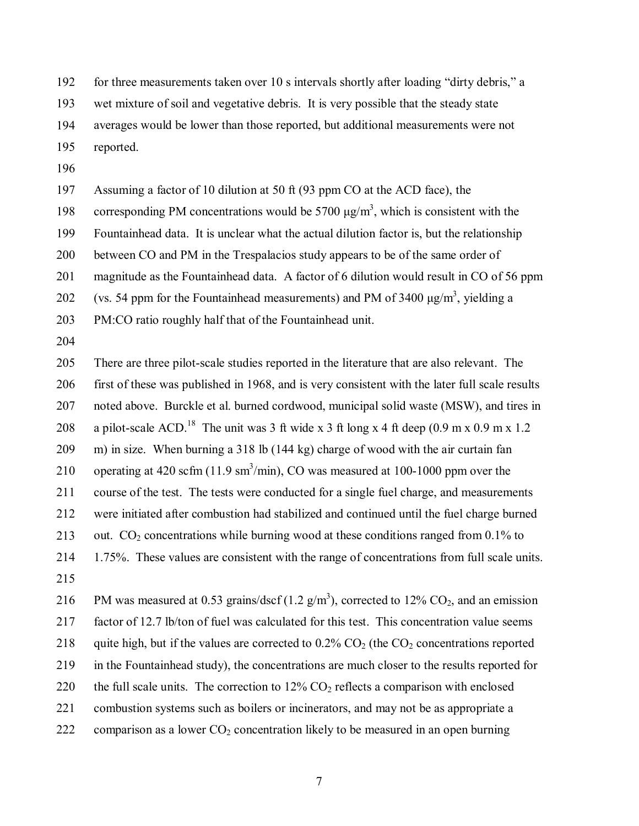for three measurements taken over 10 s intervals shortly after loading "dirty debris," a 192

wet mixture of soil and vegetative debris. It is very possible that the steady state 193

averages would be lower than those reported, but additional measurements were not reported. 194 195

196

Assuming a factor of 10 dilution at 50 ft (93 ppm CO at the ACD face), the corresponding PM concentrations would be 5700  $\mu$ g/m<sup>3</sup>, which is consistent with the Fountainhead data. It is unclear what the actual dilution factor is, but the relationship between CO and PM in the Trespalacios study appears to be of the same order of magnitude as the Fountainhead data. A factor of 6 dilution would result in CO of 56 ppm (vs. 54 ppm for the Fountainhead measurements) and PM of  $3400 \mu g/m<sup>3</sup>$ , yielding a PM:CO ratio roughly half that of the Fountainhead unit. 197 198 199 200 201 202 203

204

There are three pilot-scale studies reported in the literature that are also relevant. The first of these was published in 1968, and is very consistent with the later full scale results noted above. Burckle et al. burned cordwood, municipal solid waste (MSW), and tires in a pilot-scale ACD.<sup>18</sup> The unit was 3 ft wide x 3 ft long x 4 ft deep (0.9 m x 0.9 m x 1.2 m) in size. When burning a 318 lb (144 kg) charge of wood with the air curtain fan operating at 420 scfm (11.9 sm<sup>3</sup>/min), CO was measured at 100-1000 ppm over the course of the test. The tests were conducted for a single fuel charge, and measurements were initiated after combustion had stabilized and continued until the fuel charge burned out.  $CO<sub>2</sub>$  concentrations while burning wood at these conditions ranged from 0.1% to out.  $CO_2$  concentrations while burning wood at these conditions ranged from 0.1% to 1.75%. These values are consistent with the range of concentrations from full scale units. 205 206 207 208 209 210 211 212 213 214

215

PM was measured at 0.53 grains/dscf (1.2  $g/m<sup>3</sup>$ ), corrected to 12% CO<sub>2</sub>, and an emission factor of 12.7 lb/ton of fuel was calculated for this test. This concentration value seems quite high, but if the values are corrected to  $0.2\%$  CO<sub>2</sub> (the CO<sub>2</sub> concentrations reported in the Fountainhead study), the concentrations are much closer to the results reported for in the Fountainhead study), the concentrations are much closer to the results reported f<br>the full scale units. The correction to  $12\%$  CO<sub>2</sub> reflects a comparison with enclosed combustion systems such as boilers or incinerators, and may not be as appropriate a comparison as a lower  $CO<sub>2</sub>$  concentration likely to be measured in an open burning 216 217 218 219 220 221 222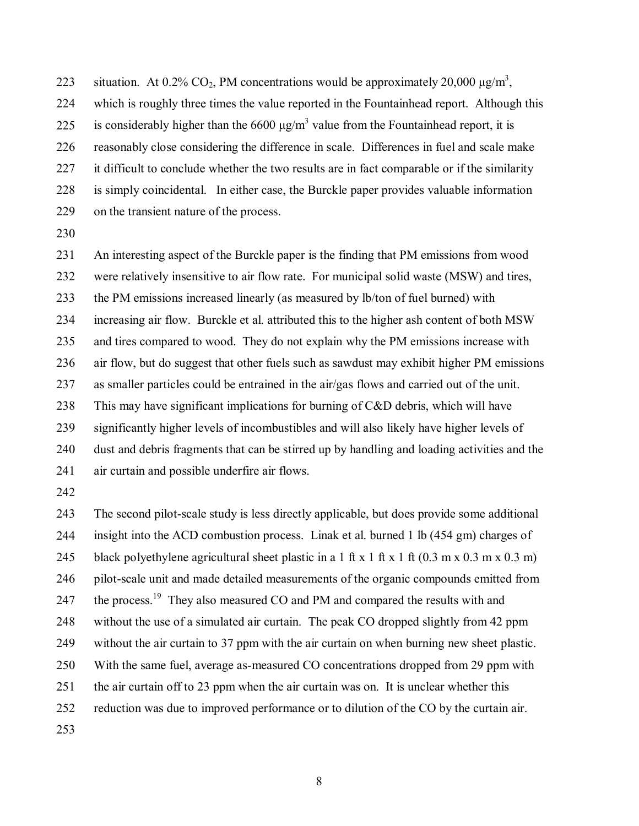situation. At 0.2% CO<sub>2</sub>, PM concentrations would be approximately 20,000  $\mu$ g/m<sup>3</sup>, which is roughly three times the value reported in the Fountainhead report. Although this is considerably higher than the 6600  $\mu$ g/m<sup>3</sup> value from the Fountainhead report, it is reasonably close considering the difference in scale. Differences in fuel and scale make it difficult to conclude whether the two results are in fact comparable or if the similarity is simply coincidental. In either case, the Burckle paper provides valuable information on the transient nature of the process. 223 situation. At 0.2% CO<sub>2</sub>, PM concentrations would be approximately 20,000  $\mu$ g/m<sup>3</sup>, 224 225 226 227 228 229

230

An interesting aspect of the Burckle paper is the finding that PM emissions from wood were relatively insensitive to air flow rate. For municipal solid waste (MSW) and tires, the PM emissions increased linearly (as measured by lb/ton of fuel burned) with increasing air flow. Burckle et al. attributed this to the higher ash content of both MSW and tires compared to wood. They do not explain why the PM emissions increase with air flow, but do suggest that other fuels such as sawdust may exhibit higher PM emissions as smaller particles could be entrained in the air/gas flows and carried out of the unit. This may have significant implications for burning of C&D debris, which will have significantly higher levels of incombustibles and will also likely have higher levels of dust and debris fragments that can be stirred up by handling and loading activities and the air curtain and possible underfire air flows. 231 232 233 234 235 236 237 238 239 240 241

242

The second pilot-scale study is less directly applicable, but does provide some additional insight into the ACD combustion process. Linak et al. burned 1 lb (454 gm) charges of black polyethylene agricultural sheet plastic in a 1 ft x 1 ft x 1 ft  $(0.3 \text{ m} \times 0.3 \text{ m} \times 0.3 \text{ m})$ pilot-scale unit and made detailed measurements of the organic compounds emitted from the process.<sup>19</sup> They also measured CO and PM and compared the results with and without the use of a simulated air curtain. The peak CO dropped slightly from 42 ppm without the air curtain to 37 ppm with the air curtain on when burning new sheet plastic. With the same fuel, average as-measured CO concentrations dropped from 29 ppm with With the same fuel, average as-measured CO concentrations dropped from 29 ppm w<br>the air curtain off to 23 ppm when the air curtain was on. It is unclear whether this reduction was due to improved performance or to dilution of the CO by the curtain air. 243 244 245 246 247 248 249 250 251 252 253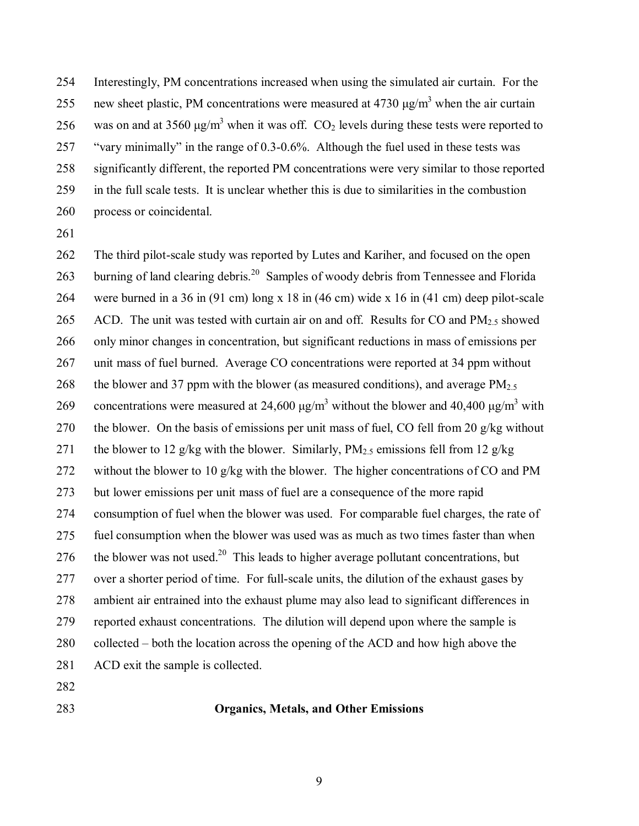Interestingly, PM concentrations increased when using the simulated air curtain. For the new sheet plastic, PM concentrations were measured at  $4730 \mu g/m<sup>3</sup>$  when the air curtain new sheet plastic, PM concentrations were measured at 4730  $\mu$ g/m<sup>3</sup> when the air curtain was on and at 3560  $\mu$ g/m<sup>3</sup> when it was off. CO<sub>2</sub> levels during these tests were reported to was on and at 3560  $\mu$ g/m<sup>3</sup> when it was off. CO<sub>2</sub> levels during these tests were reported "vary minimally" in the range of 0.3-0.6%. Although the fuel used in these tests was significantly different, the reported PM concentrations were very similar to those reported in the full scale tests. It is unclear whether this is due to similarities in the combustion process or coincidental. 254 255 256 257 258 259 260

261

The third pilot-scale study was reported by Lutes and Kariher, and focused on the open burning of land clearing debris.<sup>20</sup> Samples of woody debris from Tennessee and Florida were burned in a 36 in (91 cm) long x 18 in (46 cm) wide x 16 in (41 cm) deep pilot-scale ACD. The unit was tested with curtain air on and off. Results for CO and  $PM_{2.5}$  showed only minor changes in concentration, but significant reductions in mass of emissions per unit mass of fuel burned. Average CO concentrations were reported at 34 ppm without the blower and 37 ppm with the blower (as measured conditions), and average  $PM_{2.5}$ concentrations were measured at 24,600  $\mu$ g/m<sup>3</sup> without the blower and 40,400  $\mu$ g/m<sup>3</sup> with the blower. On the basis of emissions per unit mass of fuel, CO fell from 20 g/kg without the blower to 12 g/kg with the blower. Similarly,  $PM_{2.5}$  emissions fell from 12 g/kg the blower to 12 g/kg with the blower. Similarly,  $PM_{2.5}$  emissions fell from 12 g/kg without the blower to 10 g/kg with the blower. The higher concentrations of CO and PM but lower emissions per unit mass of fuel are a consequence of the more rapid consumption of fuel when the blower was used. For comparable fuel charges, the rate of consumption of fuel when the blower was used. For comparable fuel charges, the rate of fuel consumption when the blower was used was as much as two times faster than when the blower was not used.<sup>20</sup> This leads to higher average pollutant concentrations, but over a shorter period of time. For full-scale units, the dilution of the exhaust gases by ambient air entrained into the exhaust plume may also lead to significant differences in ambient air entrained into the exhaust plume may also lead to significant differences in reported exhaust concentrations. The dilution will depend upon where the sample is collected – both the location across the opening of the ACD and how high above the ACD exit the sample is collected. 262 263 264 265 266 267 268 269 270 271 272 273 274 275 276 277 278 279 280 281

282

283

### **Organics, Metals, and Other Emissions**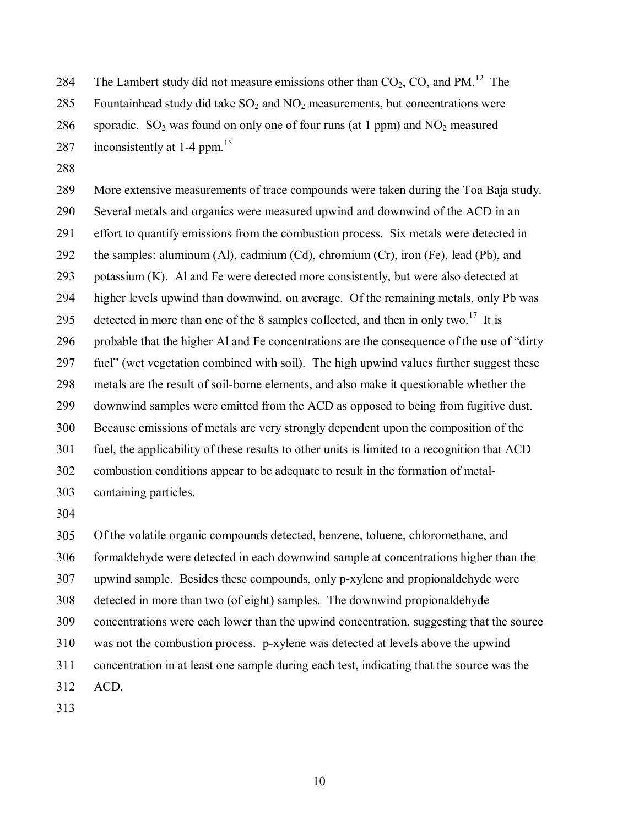The Lambert study did not measure emissions other than  $CO<sub>2</sub>$ , CO, and PM.<sup>12</sup> The 284

Fountainhead study did take  $SO<sub>2</sub>$  and  $NO<sub>2</sub>$  measurements, but concentrations were 285

sporadic.  $SO_2$  was found on only one of four runs (at 1 ppm) and  $NO_2$  measured 286

inconsistently at 1-4 ppm. $^{15}$ 287

288

More extensive measurements of trace compounds were taken during the Toa Baja study. Several metals and organics were measured upwind and downwind of the ACD in an effort to quantify emissions from the combustion process. Six metals were detected in the samples: aluminum (Al), cadmium (Cd), chromium (Cr), iron (Fe), lead (Pb), and potassium (K). Al and Fe were detected more consistently, but were also detected at higher levels upwind than downwind, on average. Of the remaining metals, only Pb was detected in more than one of the 8 samples collected, and then in only two.<sup>17</sup> It is probable that the higher Al and Fe concentrations are the consequence of the use of "dirty fuel" (wet vegetation combined with soil). The high upwind values further suggest these metals are the result of soil-borne elements, and also make it questionable whether the downwind samples were emitted from the ACD as opposed to being from fugitive dust. Because emissions of metals are very strongly dependent upon the composition of the fuel, the applicability of these results to other units is limited to a recognition that ACD combustion conditions appear to be adequate to result in the formation of metal containing particles. 289 290 291 292 293 294 295 296 297 298 299 300 301 302 303

304

Of the volatile organic compounds detected, benzene, toluene, chloromethane, and formaldehyde were detected in each downwind sample at concentrations higher than the upwind sample. Besides these compounds, only p-xylene and propionaldehyde were detected in more than two (of eight) samples. The downwind propionaldehyde concentrations were each lower than the upwind concentration, suggesting that the source was not the combustion process. p-xylene was detected at levels above the upwind concentration in at least one sample during each test, indicating that the source was the ACD. 305 306 307 308 309 310 311 312

313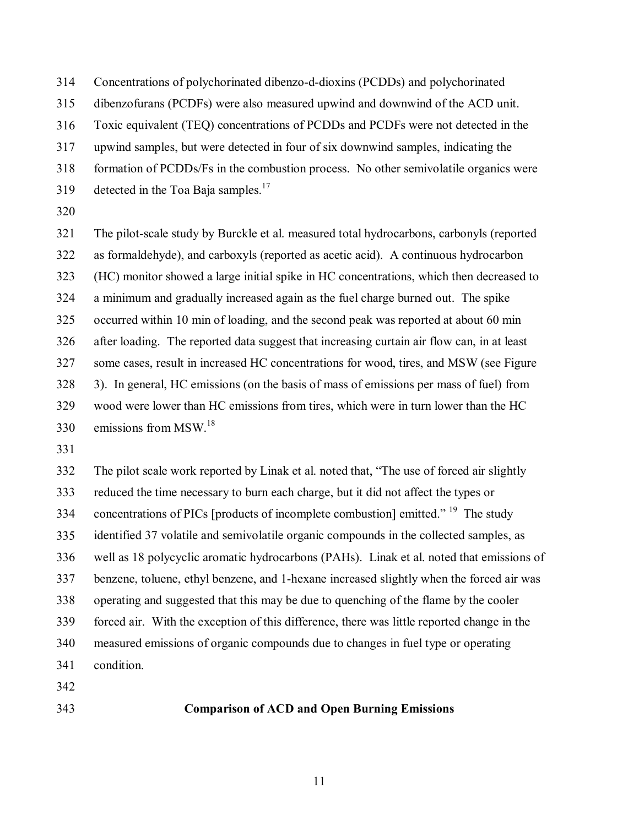Concentrations of polychorinated dibenzo-d-dioxins (PCDDs) and polychorinated 314

dibenzofurans (PCDFs) were also measured upwind and downwind of the ACD unit. 315

Toxic equivalent (TEQ) concentrations of PCDDs and PCDFs were not detected in the 316

upwind samples, but were detected in four of six downwind samples, indicating the 317

formation of PCDDs/Fs in the combustion process. No other semivolatile organics were 318

detected in the Toa Baja samples. $17$ 319

320

The pilot-scale study by Burckle et al. measured total hydrocarbons, carbonyls (reported as formaldehyde), and carboxyls (reported as acetic acid). A continuous hydrocarbon (HC) monitor showed a large initial spike in HC concentrations, which then decreased to a minimum and gradually increased again as the fuel charge burned out. The spike occurred within 10 min of loading, and the second peak was reported at about 60 min after loading. The reported data suggest that increasing curtain air flow can, in at least some cases, result in increased HC concentrations for wood, tires, and MSW (see Figure 3). In general, HC emissions (on the basis of mass of emissions per mass of fuel) from wood were lower than HC emissions from tires, which were in turn lower than the HC emissions from  $MSW<sup>18</sup>$ 321 322 323 324 325 326 327 328 329 330

331

The pilot scale work reported by Linak et al. noted that, "The use of forced air slightly reduced the time necessary to burn each charge, but it did not affect the types or concentrations of PICs [products of incomplete combustion] emitted." <sup>19</sup> The study identified 37 volatile and semivolatile organic compounds in the collected samples, as well as 18 polycyclic aromatic hydrocarbons (PAHs). Linak et al. noted that emissions of benzene, toluene, ethyl benzene, and 1-hexane increased slightly when the forced air was operating and suggested that this may be due to quenching of the flame by the cooler forced air. With the exception of this difference, there was little reported change in the measured emissions of organic compounds due to changes in fuel type or operating condition. 332 333 334 335 336 337 338 339 340 341

342

343

**Comparison of ACD and Open Burning Emissions**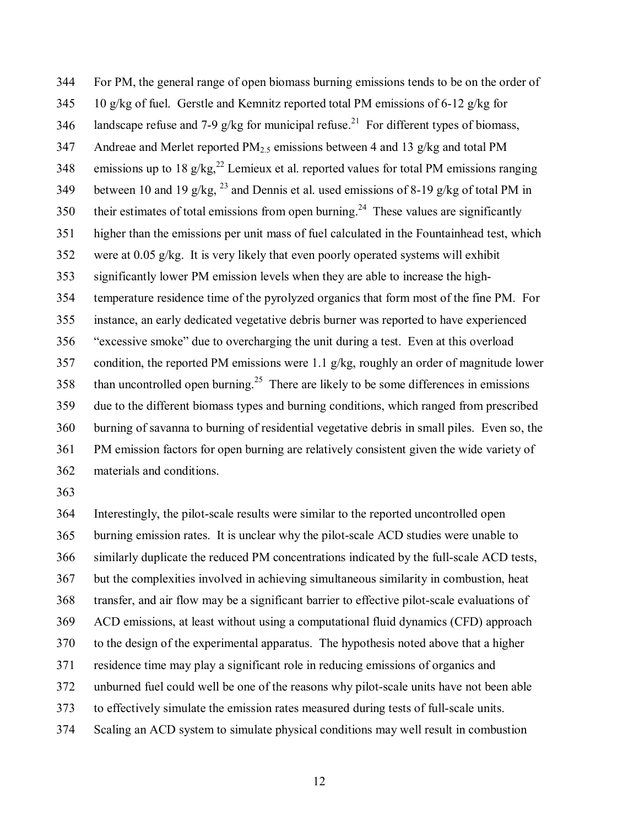For PM, the general range of open biomass burning emissions tends to be on the order of 10 g/kg of fuel. Gerstle and Kemnitz reported total PM emissions of 612 g/kg for landscape refuse and 7-9 g/kg for municipal refuse.<sup>21</sup> For different types of biomass, Andreae and Merlet reported  $PM_{2.5}$  emissions between 4 and 13 g/kg and total PM emissions up to 18 g/kg,<sup>22</sup> Lemieux et al. reported values for total PM emissions ranging between 10 and 19 g/kg,<sup>23</sup> and Dennis et al. used emissions of 8-19 g/kg of total PM in their estimates of total emissions from open burning.<sup>24</sup> These values are significantly higher than the emissions per unit mass of fuel calculated in the Fountainhead test, which were at 0.05 g/kg. It is very likely that even poorly operated systems will exhibit were at 0.05 g/kg. It is very likely that even poorly operated systems will exhibit significantly lower PM emission levels when they are able to increase the hightemperature residence time of the pyrolyzed organics that form most of the fine PM. For instance, an early dedicated vegetative debris burner was reported to have experienced "excessive smoke" due to overcharging the unit during a test. Even at this overload condition, the reported PM emissions were 1.1 g/kg, roughly an order of magnitude lower than uncontrolled open burning.<sup>25</sup> There are likely to be some differences in emissions due to the different biomass types and burning conditions, which ranged from prescribed burning of savanna to burning of residential vegetative debris in small piles. Even so, the PM emission factors for open burning are relatively consistent given the wide variety of materials and conditions. 344 345 346 347 348 349 350 351 352 353 354 355 356 357 358 359 360 361 362

363

Interestingly, the pilot-scale results were similar to the reported uncontrolled open burning emission rates. It is unclear why the pilot-scale ACD studies were unable to burning emission rates. It is unclear why the pilot-scale ACD studies were unable to similarly duplicate the reduced PM concentrations indicated by the full-scale ACD tests, but the complexities involved in achieving simultaneous similarity in combustion, heat transfer, and air flow may be a significant barrier to effective pilot-scale evaluations of ACD emissions, at least without using a computational fluid dynamics (CFD) approach to the design of the experimental apparatus. The hypothesis noted above that a higher residence time may play a significant role in reducing emissions of organics and unburned fuel could well be one of the reasons why pilot-scale units have not been able to effectively simulate the emission rates measured during tests of full-scale units. Scaling an ACD system to simulate physical conditions may well result in combustion 364 365 366 367 368 369 370 371 372 373 374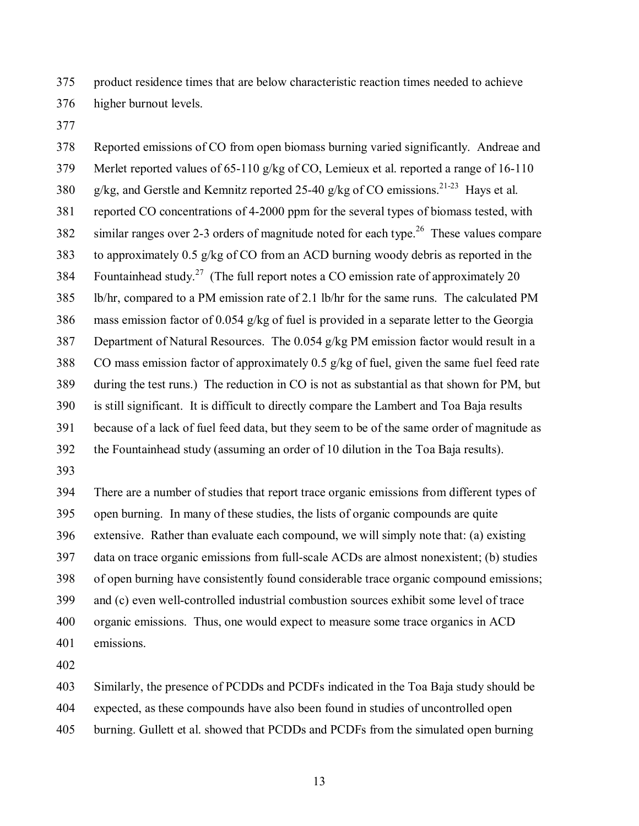product residence times that are below characteristic reaction times needed to achieve higher burnout levels. 375 376

377

Reported emissions of CO from open biomass burning varied significantly. Andreae and Merlet reported values of  $65-110$  g/kg of CO, Lemieux et al. reported a range of  $16-110$ g/kg, and Gerstle and Kemnitz reported 25-40 g/kg of CO emissions.<sup>21-23</sup> Hays et al. reported CO concentrations of 42000 ppm for the several types of biomass tested, with similar ranges over 2-3 orders of magnitude noted for each type.<sup>26</sup> These values compare to approximately 0.5 g/kg of CO from an ACD burning woody debris as reported in the Fountainhead study.<sup>27</sup> (The full report notes a CO emission rate of approximately 20 lb/hr, compared to a PM emission rate of 2.1 lb/hr for the same runs. The calculated PM mass emission factor of 0.054 g/kg of fuel is provided in a separate letter to the Georgia Department of Natural Resources. The 0.054 g/kg PM emission factor would result in a CO mass emission factor of approximately  $0.5 \frac{\text{g}}{\text{kg}}$  of fuel, given the same fuel feed rate during the test runs.) The reduction in CO is not as substantial as that shown for PM, but is still significant. It is difficult to directly compare the Lambert and Toa Baja results because of a lack of fuel feed data, but they seem to be of the same order of magnitude as the Fountainhead study (assuming an order of 10 dilution in the Toa Baja results). 378 379 380 381 382 383 384 385 386 387 388 389 390 391 392

393

There are a number of studies that report trace organic emissions from different types of open burning. In many of these studies, the lists of organic compounds are quite extensive. Rather than evaluate each compound, we will simply note that: (a) existing data on trace organic emissions from full-scale ACDs are almost nonexistent; (b) studies of open burning have consistently found considerable trace organic compound emissions; and (c) even well-controlled industrial combustion sources exhibit some level of trace organic emissions. Thus, one would expect to measure some trace organics in ACD emissions. 394 395 396 397 398 399 400 401

402

Similarly, the presence of PCDDs and PCDFs indicated in the Toa Baja study should be 403

expected, as these compounds have also been found in studies of uncontrolled open 404

burning. Gullett et al. showed that PCDDs and PCDFs from the simulated open burning 405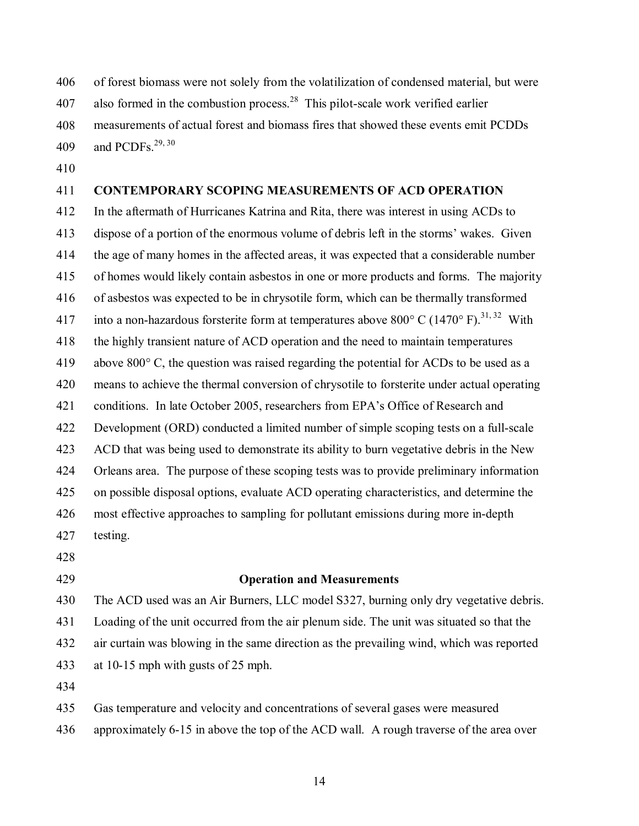of forest biomass were not solely from the volatilization of condensed material, but were also formed in the combustion process.<sup>28</sup> This pilot-scale work verified earlier measurements of actual forest and biomass fires that showed these events emit PCDDs and PCDFs.<sup>29, 30</sup> 406 407 408 409

410

#### **CONTEMPORARY SCOPING MEASUREMENTS OF ACD OPERATION** 411

In the aftermath of Hurricanes Katrina and Rita, there was interest in using ACDs to dispose of a portion of the enormous volume of debris left in the storms' wakes. Given the age of many homes in the affected areas, it was expected that a considerable number of homes would likely contain asbestos in one or more products and forms. The majority of asbestos was expected to be in chrysotile form, which can be thermally transformed into a non-hazardous forsterite form at temperatures above  $800^{\circ}$  C (1470° F).<sup>31, 32</sup> With the highly transient nature of ACD operation and the need to maintain temperatures above  $800^{\circ}$  C, the question was raised regarding the potential for ACDs to be used as a means to achieve the thermal conversion of chrysotile to forsterite under actual operating conditions. In late October 2005, researchers from EPA's Office of Research and Development (ORD) conducted a limited number of simple scoping tests on a full-scale ACD that was being used to demonstrate its ability to burn vegetative debris in the New ACD that was being used to demonstrate its ability to burn vegetative debris in the New<br>Orleans area. The purpose of these scoping tests was to provide preliminary information Orleans area. The purpose of these scoping tests was to provide preliminary information<br>on possible disposal options, evaluate ACD operating characteristics, and determine the most effective approaches to sampling for pollutant emissions during more in-depth testing. 412 413 414 415 416 417 418 419 420 421 422 423 424 425 426 427

428

429

## **Operation and Measurements**

The ACD used was an Air Burners, LLC model S327, burning only dry vegetative debris. Loading of the unit occurred from the air plenum side. The unit was situated so that the air curtain was blowing in the same direction as the prevailing wind, which was reported at 10-15 mph with gusts of  $25$  mph. 430 431 432 433

434

Gas temperature and velocity and concentrations of several gases were measured approximately 615 in above the top of the ACD wall. A rough traverse of the area over 435 436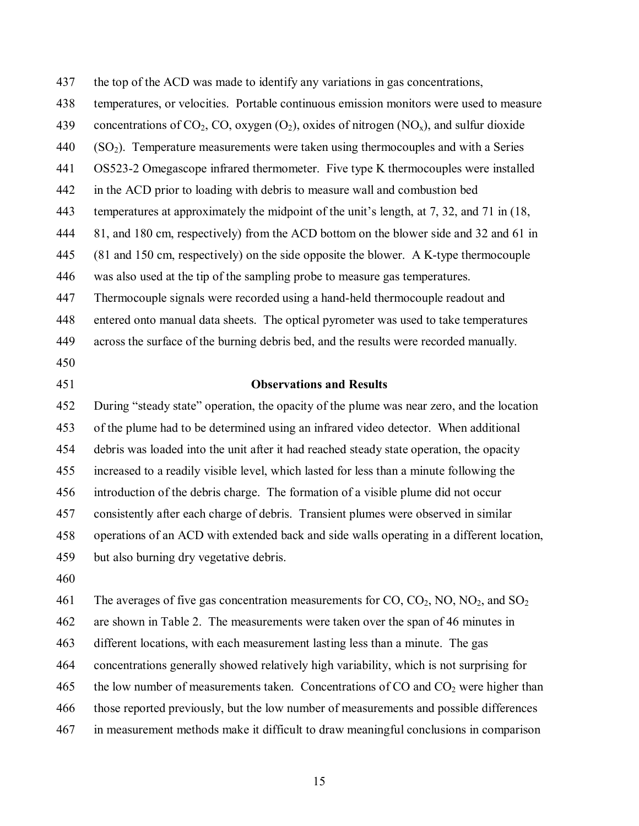the top of the ACD was made to identify any variations in gas concentrations, temperatures, or velocities. Portable continuous emission monitors were used to measure concentrations of  $CO_2$ ,  $CO$ , oxygen  $(O_2)$ , oxides of nitrogen  $(NO_x)$ , and sulfur dioxide concentrations of CO<sub>2</sub>, CO, oxygen (O<sub>2</sub>), oxides of nitrogen (NO<sub>x</sub>), and sulfur dioxide (SO<sub>2</sub>). Temperature measurements were taken using thermocouples and with a Series OS5232 Omegascope infrared thermometer. Five type K thermocouples were installed in the ACD prior to loading with debris to measure wall and combustion bed temperatures at approximately the midpoint of the unit's length, at 7, 32, and 71 in (18, 81, and 180 cm, respectively) from the ACD bottom on the blower side and 32 and 61 in  $(81$  and 150 cm, respectively) on the side opposite the blower. A K-type thermocouple was also used at the tip of the sampling probe to measure gas temperatures. Thermocouple signals were recorded using a hand-held thermocouple readout and entered onto manual data sheets. The optical pyrometer was used to take temperatures across the surface of the burning debris bed, and the results were recorded manually. **Observations and Results** During "steady state" operation, the opacity of the plume was near zero, and the location of the plume had to be determined using an infrared video detector. When additional debris was loaded into the unit after it had reached steady state operation, the opacity increased to a readily visible level, which lasted for less than a minute following the introduction of the debris charge. The formation of a visible plume did not occur consistently after each charge of debris. Transient plumes were observed in similar operations of an ACD with extended back and side walls operating in a different location, but also burning dry vegetative debris. 437 438 439 440 441 442 443 444 445 446 447 448 449 450 451 452 453 454 455 456 457 458 459

460

The averages of five gas concentration measurements for  $CO$ ,  $CO<sub>2</sub>$ , NO, NO<sub>2</sub>, and SO<sub>2</sub> The averages of five gas concentration measurements for CO,  $CO_2$ , NO, NO<sub>2</sub>, and SO<sub>2</sub> are shown in Table 2. The measurements were taken over the span of 46 minutes in different locations, with each measurement lasting less than a minute. The gas concentrations generally showed relatively high variability, which is not surprising for the low number of measurements taken. Concentrations of  $CO$  and  $CO<sub>2</sub>$  were higher than those reported previously, but the low number of measurements and possible differences in measurement methods make it difficult to draw meaningful conclusions in comparison 461 462 463 464 465 466 467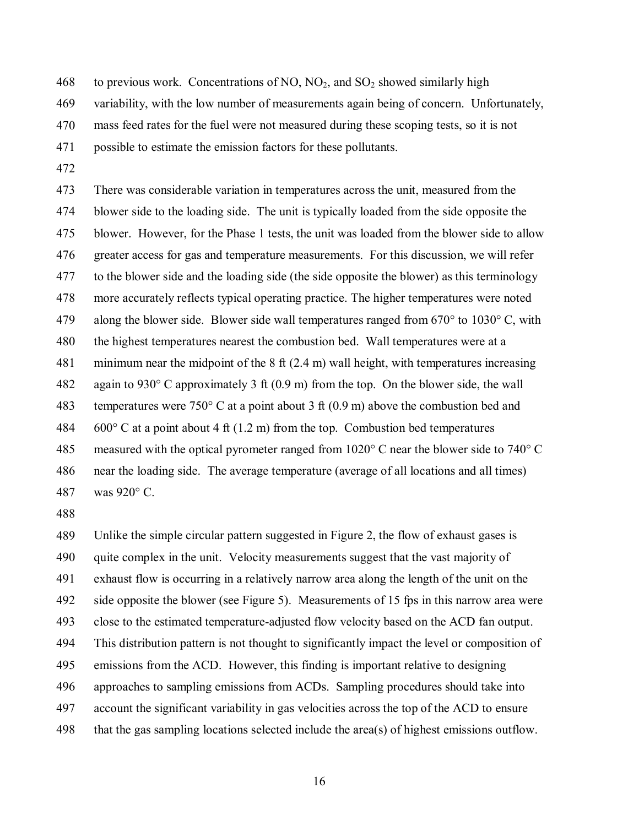- to previous work. Concentrations of NO, NO<sub>2</sub>, and SO<sub>2</sub> showed similarly high 468
- variability, with the low number of measurements again being of concern. Unfortunately, 469
- mass feed rates for the fuel were not measured during these scoping tests, so it is not 470
- possible to estimate the emission factors for these pollutants. 471
- 472

There was considerable variation in temperatures across the unit, measured from the There was considerable variation in temperatures across the unit, measured from the blower side to the loading side. The unit is typically loaded from the side opposite the blower side to the loading side. The unit is typically loaded from the side opposite the blower. However, for the Phase 1 tests, the unit was loaded from the blower side to allow greater access for gas and temperature measurements. For this discussion, we will refer to the blower side and the loading side (the side opposite the blower) as this terminology more accurately reflects typical operating practice. The higher temperatures were noted along the blower side. Blower side wall temperatures ranged from 670° to 1030° C, with the highest temperatures nearest the combustion bed. Wall temperatures were at a minimum near the midpoint of the  $8 \text{ ft}$  (2.4 m) wall height, with temperatures increasing again to 930° C approximately 3 ft (0.9 m) from the top. On the blower side, the wall temperatures were 750° C at a point about 3 ft (0.9 m) above the combustion bed and  $600^{\circ}$  C at a point about 4 ft (1.2 m) from the top. Combustion bed temperatures measured with the optical pyrometer ranged from 1020° C near the blower side to 740° C near the loading side. The average temperature (average of all locations and all times) was 920° C. 473 474 475 476 477 478 479 480 481 482 483 484 485 486 487

488

Unlike the simple circular pattern suggested in Figure 2, the flow of exhaust gases is quite complex in the unit. Velocity measurements suggest that the vast majority of exhaust flow is occurring in a relatively narrow area along the length of the unit on the side opposite the blower (see Figure 5). Measurements of 15 fps in this narrow area were close to the estimated temperature-adjusted flow velocity based on the ACD fan output. This distribution pattern is not thought to significantly impact the level or composition of emissions from the ACD. However, this finding is important relative to designing approaches to sampling emissions from ACDs. Sampling procedures should take into account the significant variability in gas velocities across the top of the ACD to ensure that the gas sampling locations selected include the area(s) of highest emissions outflow. 489 490 491 492 493 494 495 496 497 498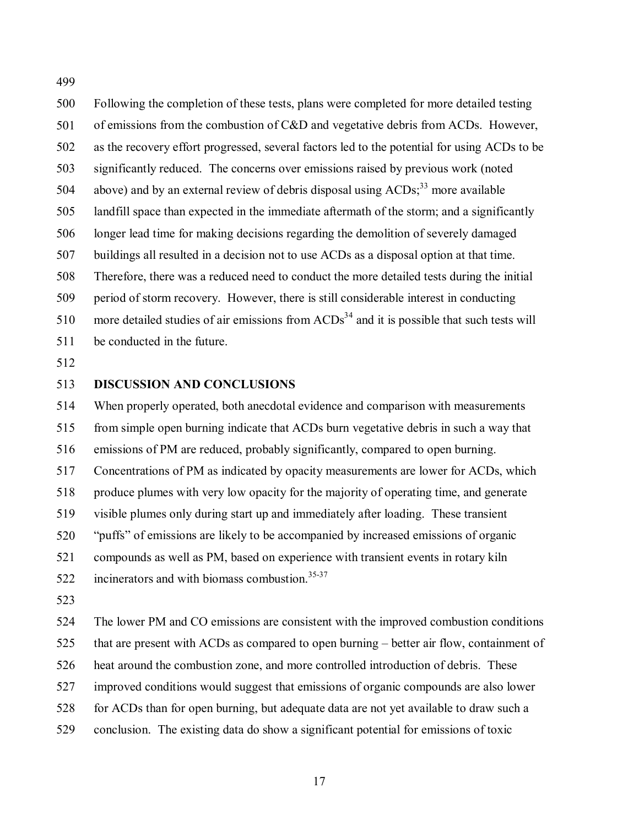Following the completion of these tests, plans were completed for more detailed testing of emissions from the combustion of C&D and vegetative debris from ACDs. However, as the recovery effort progressed, several factors led to the potential for using ACDs to be significantly reduced. The concerns over emissions raised by previous work (noted above) and by an external review of debris disposal using ACDs;<sup>33</sup> more available landfill space than expected in the immediate aftermath of the storm; and a significantly longer lead time for making decisions regarding the demolition of severely damaged longer lead time for making decisions regarding the demolition of severely damaged<br>buildings all resulted in a decision not to use ACDs as a disposal option at that time. buildings all resulted in a decision not to use ACDs as a disposal option at that time.<br>Therefore, there was a reduced need to conduct the more detailed tests during the initial Therefore, there was a reduced need to conduct the more detailed tests during the initial<br>period of storm recovery. However, there is still considerable interest in conducting more detailed studies of air emissions from  $ACDs<sup>34</sup>$  and it is possible that such tests will be conducted in the future. 500 501 502 503 504 505 506 507 508 509 510 511

512

499

#### **DISCUSSION AND CONCLUSIONS** 513

When properly operated, both anecdotal evidence and comparison with measurements 514

from simple open burning indicate that ACDs burn vegetative debris in such a way that 515

emissions of PM are reduced, probably significantly, compared to open burning. 516

Concentrations of PM as indicated by opacity measurements are lower for ACDs, which 517

produce plumes with very low opacity for the majority of operating time, and generate 518

visible plumes only during start up and immediately after loading. These transient 519

"puffs" of emissions are likely to be accompanied by increased emissions of organic 520

compounds as well as PM, based on experience with transient events in rotary kiln 521

incinerators and with biomass combustion.<sup>35-37</sup> 522

523

The lower PM and CO emissions are consistent with the improved combustion conditions that are present with ACDs as compared to open burning – better air flow, containment of heat around the combustion zone, and more controlled introduction of debris. These improved conditions would suggest that emissions of organic compounds are also lower for ACDs than for open burning, but adequate data are not yet available to draw such a for ACDs than for open burning, but adequate data are not yet available to draw such a conclusion. The existing data do show a significant potential for emissions of toxic 524 525 526 527 528 529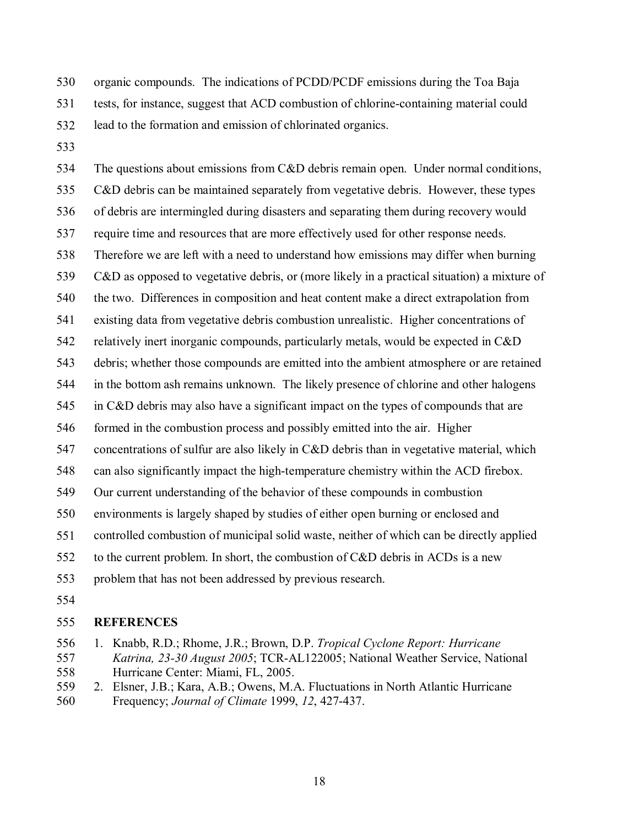organic compounds. The indications of PCDD/PCDF emissions during the Toa Baja 530

tests, for instance, suggest that ACD combustion of chlorine-containing material could 531

- lead to the formation and emission of chlorinated organics. 532
- 533

The questions about emissions from C&D debris remain open. Under normal conditions, C&D debris can be maintained separately from vegetative debris. However, these types of debris are intermingled during disasters and separating them during recovery would require time and resources that are more effectively used for other response needs. Therefore we are left with a need to understand how emissions may differ when burning C&D as opposed to vegetative debris, or (more likely in a practical situation) a mixture of C&D as opposed to vegetative debris, or (more likely in a practical situation) a mixture of<br>the two. Differences in composition and heat content make a direct extrapolation from the two. Differences in composition and heat content make a direct extrapolation from existing data from vegetative debris combustion unrealistic. Higher concentrations of relatively inert inorganic compounds, particularly metals, would be expected in C&D debris; whether those compounds are emitted into the ambient atmosphere or are retained in the bottom ash remains unknown. The likely presence of chlorine and other halogens in C&D debris may also have a significant impact on the types of compounds that are formed in the combustion process and possibly emitted into the air. Higher concentrations of sulfur are also likely in C&D debris than in vegetative material, which can also significantly impact the high-temperature chemistry within the ACD firebox. Our current understanding of the behavior of these compounds in combustion environments is largely shaped by studies of either open burning or enclosed and controlled combustion of municipal solid waste, neither of which can be directly applied to the current problem. In short, the combustion of C&D debris in ACDs is a new problem that has not been addressed by previous research. 534 535 536 537 538 539 540 541 542 543 544 545 546 547 548 549 550 551 552 553 554

#### **REFERENCES** 555

- 1. Knabb, R.D.; Rhome, J.R.; Brown, D.P. *Tropical Cyclone Report: Hurricane Katrina, 23-30 August 2005*; TCR-AL122005; National Weather Service, National Hurricane Center: Miami, FL, 2005.<br>2. Elsner, J.B.; Kara, A.B.; Owens, M.A. Fluctuations in North Atlantic Hurricane Frequency: *Journal of Cli* Hurricane Center: Miami, FL, 2005. 556 557 558
- 559
- Frequency; *Journal of Climate* 1999, 12, 427-437. 560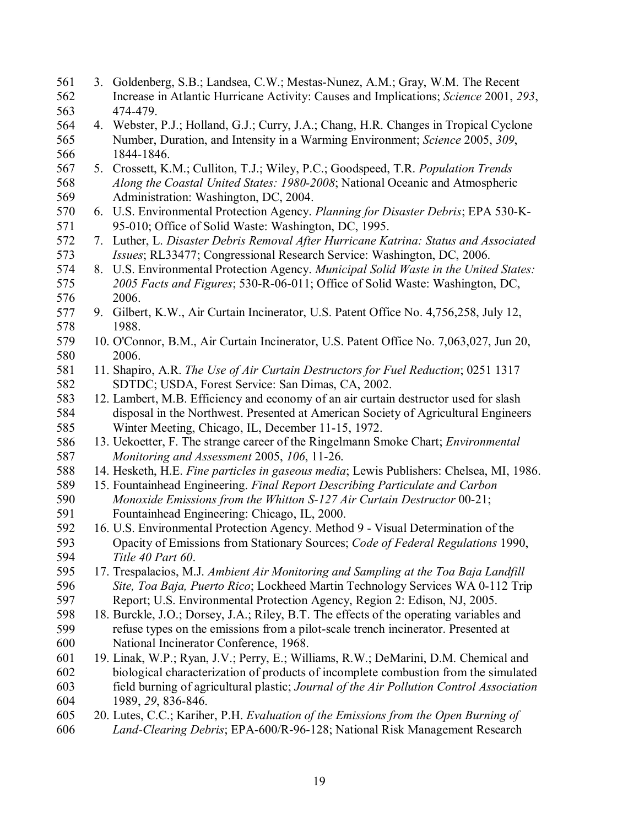| 561        | 3. Goldenberg, S.B.; Landsea, C.W.; Mestas-Nunez, A.M.; Gray, W.M. The Recent                                                           |
|------------|-----------------------------------------------------------------------------------------------------------------------------------------|
| 562        | Increase in Atlantic Hurricane Activity: Causes and Implications; Science 2001, 293,                                                    |
| 563        | 474-479.                                                                                                                                |
| 564        | 4. Webster, P.J.; Holland, G.J.; Curry, J.A.; Chang, H.R. Changes in Tropical Cyclone                                                   |
| 565        | Number, Duration, and Intensity in a Warming Environment; Science 2005, 309,                                                            |
| 566        | 1844-1846.                                                                                                                              |
| 567        | 5. Crossett, K.M.; Culliton, T.J.; Wiley, P.C.; Goodspeed, T.R. Population Trends                                                       |
| 568        | Along the Coastal United States: 1980-2008; National Oceanic and Atmospheric                                                            |
| 569        | Administration: Washington, DC, 2004.                                                                                                   |
| 570        | 6. U.S. Environmental Protection Agency. Planning for Disaster Debris; EPA 530-K-                                                       |
| 571        | 95-010; Office of Solid Waste: Washington, DC, 1995.                                                                                    |
| 572        | 7. Luther, L. Disaster Debris Removal After Hurricane Katrina: Status and Associated                                                    |
| 573        | <i>Issues</i> ; RL33477; Congressional Research Service: Washington, DC, 2006.                                                          |
| 574        | 8. U.S. Environmental Protection Agency. Municipal Solid Waste in the United States:                                                    |
| 575        | 2005 Facts and Figures; 530-R-06-011; Office of Solid Waste: Washington, DC,                                                            |
| 576        | 2006.                                                                                                                                   |
| 577        | 9. Gilbert, K.W., Air Curtain Incinerator, U.S. Patent Office No. 4,756,258, July 12,                                                   |
| 578        | 1988.                                                                                                                                   |
| 579        | 10. O'Connor, B.M., Air Curtain Incinerator, U.S. Patent Office No. 7,063,027, Jun 20,                                                  |
| 580        | 2006.                                                                                                                                   |
| 581        | 11. Shapiro, A.R. The Use of Air Curtain Destructors for Fuel Reduction; 0251 1317                                                      |
| 582        | SDTDC; USDA, Forest Service: San Dimas, CA, 2002.                                                                                       |
| 583        | 12. Lambert, M.B. Efficiency and economy of an air curtain destructor used for slash                                                    |
| 584<br>585 | disposal in the Northwest. Presented at American Society of Agricultural Engineers                                                      |
| 586        | Winter Meeting, Chicago, IL, December 11-15, 1972.<br>13. Uekoetter, F. The strange career of the Ringelmann Smoke Chart; Environmental |
| 587        | Monitoring and Assessment 2005, 106, 11-26.                                                                                             |
| 588        | 14. Hesketh, H.E. Fine particles in gaseous media; Lewis Publishers: Chelsea, MI, 1986.                                                 |
| 589        | 15. Fountainhead Engineering. Final Report Describing Particulate and Carbon                                                            |
| 590        | Monoxide Emissions from the Whitton S-127 Air Curtain Destructor 00-21;                                                                 |
| 591        | Fountainhead Engineering: Chicago, IL, 2000.                                                                                            |
| 592        | 16. U.S. Environmental Protection Agency. Method 9 - Visual Determination of the                                                        |
| 593        | Opacity of Emissions from Stationary Sources; Code of Federal Regulations 1990,                                                         |
| 594        | Title 40 Part 60.                                                                                                                       |
| 595        | 17. Trespalacios, M.J. Ambient Air Monitoring and Sampling at the Toa Baja Landfill                                                     |
| 596        | Site, Toa Baja, Puerto Rico; Lockheed Martin Technology Services WA 0-112 Trip                                                          |
| 597        | Report; U.S. Environmental Protection Agency, Region 2: Edison, NJ, 2005.                                                               |
| 598        | 18. Burckle, J.O.; Dorsey, J.A.; Riley, B.T. The effects of the operating variables and                                                 |
| 599        | refuse types on the emissions from a pilot-scale trench incinerator. Presented at                                                       |
| 600        | National Incinerator Conference, 1968.                                                                                                  |
| 601        | 19. Linak, W.P.; Ryan, J.V.; Perry, E.; Williams, R.W.; DeMarini, D.M. Chemical and                                                     |
| 602        | biological characterization of products of incomplete combustion from the simulated                                                     |
| 603        | field burning of agricultural plastic; Journal of the Air Pollution Control Association                                                 |
| 604        | 1989, 29, 836-846.                                                                                                                      |
| 605        | 20. Lutes, C.C.; Kariher, P.H. Evaluation of the Emissions from the Open Burning of                                                     |
| 606        | Land-Clearing Debris; EPA-600/R-96-128; National Risk Management Research                                                               |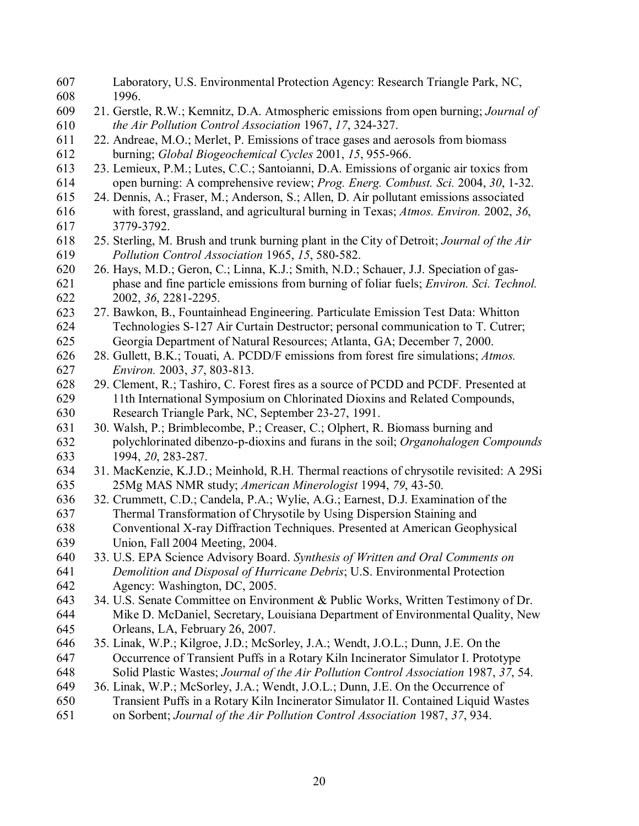| 607 | Laboratory, U.S. Environmental Protection Agency: Research Triangle Park, NC,                 |
|-----|-----------------------------------------------------------------------------------------------|
| 608 | 1996.                                                                                         |
| 609 | 21. Gerstle, R.W.; Kemnitz, D.A. Atmospheric emissions from open burning; Journal of          |
| 610 | the Air Pollution Control Association 1967, 17, 324-327.                                      |
| 611 | 22. Andreae, M.O.; Merlet, P. Emissions of trace gases and aerosols from biomass              |
| 612 | burning; Global Biogeochemical Cycles 2001, 15, 955-966.                                      |
| 613 | 23. Lemieux, P.M.; Lutes, C.C.; Santoianni, D.A. Emissions of organic air toxics from         |
| 614 | open burning: A comprehensive review; Prog. Energ. Combust. Sci. 2004, 30, 1-32.              |
| 615 | 24. Dennis, A.; Fraser, M.; Anderson, S.; Allen, D. Air pollutant emissions associated        |
| 616 | with forest, grassland, and agricultural burning in Texas; Atmos. Environ. 2002, 36,          |
| 617 | 3779-3792.                                                                                    |
| 618 | 25. Sterling, M. Brush and trunk burning plant in the City of Detroit; Journal of the Air     |
| 619 | Pollution Control Association 1965, 15, 580-582.                                              |
| 620 | 26. Hays, M.D.; Geron, C.; Linna, K.J.; Smith, N.D.; Schauer, J.J. Speciation of gas-         |
| 621 | phase and fine particle emissions from burning of foliar fuels; <i>Environ. Sci. Technol.</i> |
| 622 | 2002, 36, 2281-2295.                                                                          |
| 623 | 27. Bawkon, B., Fountainhead Engineering. Particulate Emission Test Data: Whitton             |
| 624 | Technologies S-127 Air Curtain Destructor; personal communication to T. Cutrer;               |
| 625 | Georgia Department of Natural Resources; Atlanta, GA; December 7, 2000.                       |
| 626 | 28. Gullett, B.K.; Touati, A. PCDD/F emissions from forest fire simulations; Atmos.           |
| 627 | Environ. 2003, 37, 803-813.                                                                   |
| 628 | 29. Clement, R.; Tashiro, C. Forest fires as a source of PCDD and PCDF. Presented at          |
| 629 | 11th International Symposium on Chlorinated Dioxins and Related Compounds,                    |
| 630 | Research Triangle Park, NC, September 23-27, 1991.                                            |
| 631 | 30. Walsh, P.; Brimblecombe, P.; Creaser, C.; Olphert, R. Biomass burning and                 |
| 632 | polychlorinated dibenzo-p-dioxins and furans in the soil; Organohalogen Compounds             |
| 633 | 1994, 20, 283-287.                                                                            |
| 634 | 31. MacKenzie, K.J.D.; Meinhold, R.H. Thermal reactions of chrysotile revisited: A 29Si       |
| 635 | 25Mg MAS NMR study; American Minerologist 1994, 79, 43-50.                                    |
| 636 | 32. Crummett, C.D.; Candela, P.A.; Wylie, A.G.; Earnest, D.J. Examination of the              |
| 637 | Thermal Transformation of Chrysotile by Using Dispersion Staining and                         |
| 638 | Conventional X-ray Diffraction Techniques. Presented at American Geophysical                  |
| 639 | Union, Fall 2004 Meeting, 2004.                                                               |
| 640 | 33. U.S. EPA Science Advisory Board. Synthesis of Written and Oral Comments on                |
| 641 | Demolition and Disposal of Hurricane Debris; U.S. Environmental Protection                    |
| 642 | Agency: Washington, DC, 2005.                                                                 |
| 643 | 34. U.S. Senate Committee on Environment & Public Works, Written Testimony of Dr.             |
| 644 | Mike D. McDaniel, Secretary, Louisiana Department of Environmental Quality, New               |
| 645 | Orleans, LA, February 26, 2007.                                                               |
| 646 | 35. Linak, W.P.; Kilgroe, J.D.; McSorley, J.A.; Wendt, J.O.L.; Dunn, J.E. On the              |
| 647 | Occurrence of Transient Puffs in a Rotary Kiln Incinerator Simulator I. Prototype             |
| 648 | Solid Plastic Wastes; Journal of the Air Pollution Control Association 1987, 37, 54.          |
| 649 | 36. Linak, W.P.; McSorley, J.A.; Wendt, J.O.L.; Dunn, J.E. On the Occurrence of               |
| 650 | Transient Puffs in a Rotary Kiln Incinerator Simulator II. Contained Liquid Wastes            |
| 651 | on Sorbent; Journal of the Air Pollution Control Association 1987, 37, 934.                   |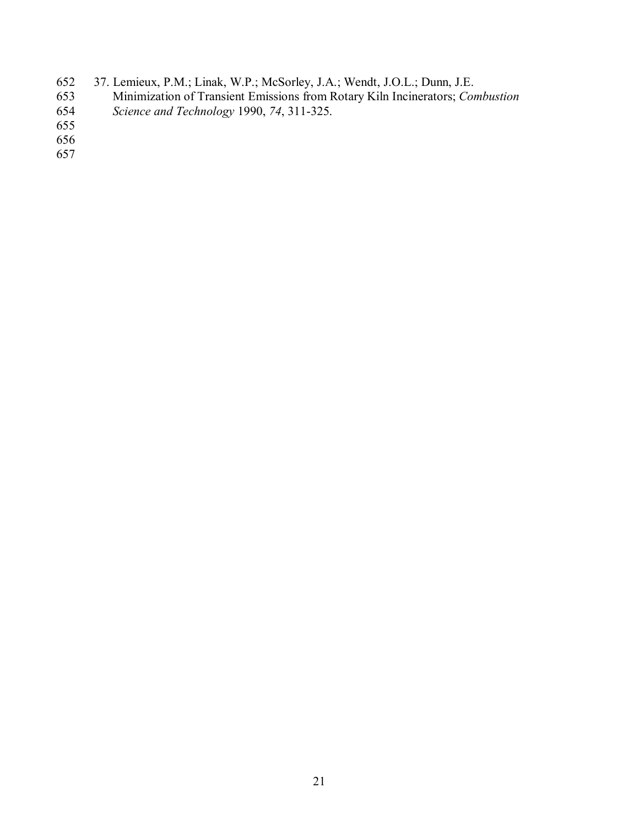- 37. Lemieux, P.M.; Linak, W.P.; McSorley, J.A.; Wendt, J.O.L.; Dunn, J.E.
- Minimization of Transient Emissions from Rotary Kiln Incinerators; *Combustion*
- *Science and Technology* 1990, 74, 311-325.
- 
- 
-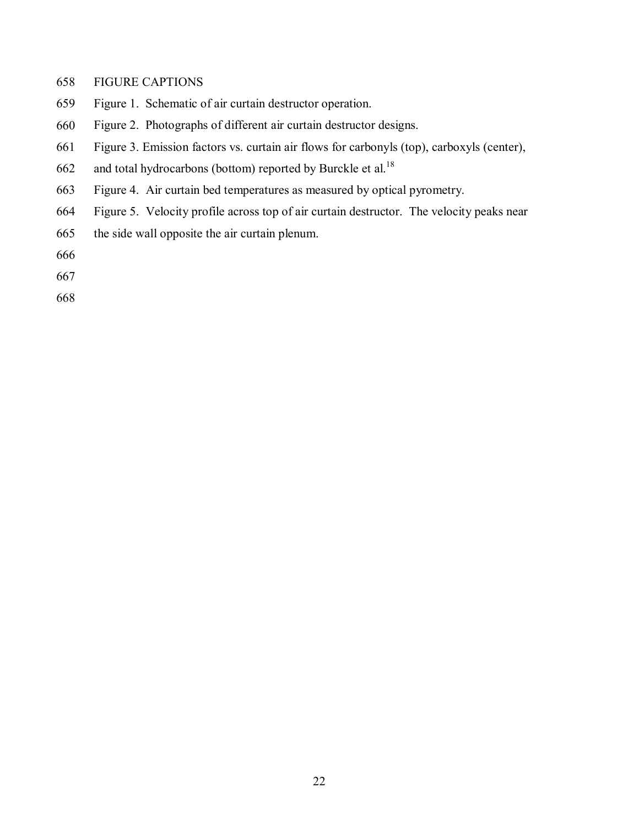#### FIGURE CAPTIONS 658

- Figure 1. Schematic of air curtain destructor operation. 659
- Figure 2. Photographs of different air curtain destructor designs. 660
- Figure 3. Emission factors vs. curtain air flows for carbonyls (top), carboxyls (center), 661
- and total hydrocarbons (bottom) reported by Burckle et al.<sup>18</sup> 662
- Figure 4. Air curtain bed temperatures as measured by optical pyrometry. 663
- Figure 5. Velocity profile across top of air curtain destructor. The velocity peaks near 664
- the side wall opposite the air curtain plenum. 665
- 666
- 667
- 668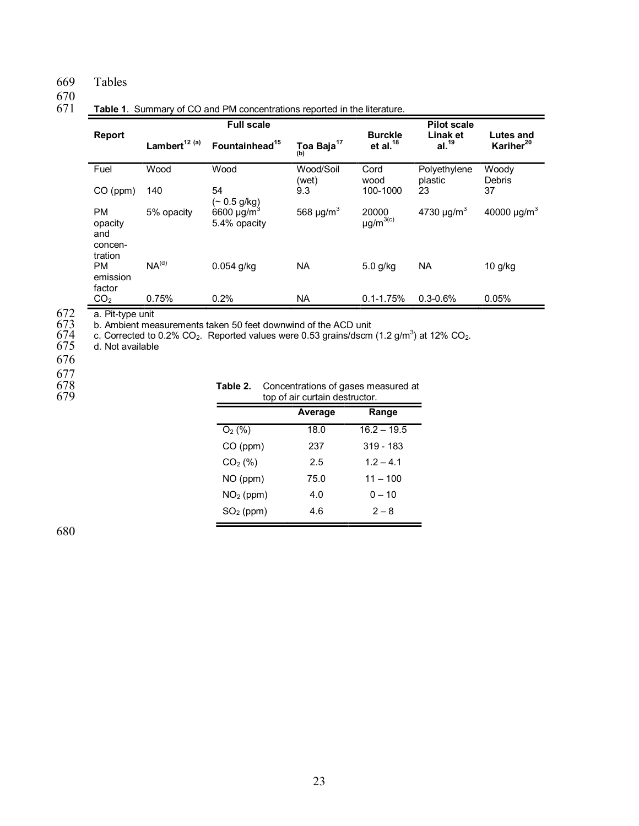| 669<br>Tables |  |
|---------------|--|
|---------------|--|

#### **Table 1**. Summary of CO and PM concentrations reported in the literature. 671

|                                                   | <b>Full scale</b>         |                                             |                               | <b>Pilot scale</b>               |                               |                                    |
|---------------------------------------------------|---------------------------|---------------------------------------------|-------------------------------|----------------------------------|-------------------------------|------------------------------------|
| <b>Report</b>                                     | Lambert <sup>12 (a)</sup> | Fountainhead <sup>15</sup>                  | Toa Baja <sup>17</sup><br>(b) | <b>Burckle</b><br>et al. $^{18}$ | Linak et<br>al. <sup>19</sup> | Lutes and<br>Kariher <sup>20</sup> |
| Fuel                                              | Wood                      | Wood                                        | Wood/Soil<br>(wet)            | Cord<br>wood                     | Polyethylene<br>plastic       | Woody<br>Debris                    |
| CO (ppm)                                          | 140                       | 54<br>$($ ~ 0.5 g/kg)                       | 9.3                           | 100-1000                         | 23                            | 37                                 |
| <b>PM</b><br>opacity<br>and<br>concen-<br>tration | 5% opacity                | 6600 $\mu$ g/m <sup>3</sup><br>5.4% opacity | 568 $\mu$ g/m <sup>3</sup>    | 20000<br>$\mu$ g/m $^{3(c)}$     | 4730 $\mu$ g/m <sup>3</sup>   | 40000 $\mu$ g/m <sup>3</sup>       |
| <b>PM</b><br>emission<br>factor                   | NA <sup>(d)</sup>         | $0.054$ g/kg                                | <b>NA</b>                     | $5.0$ g/kg                       | NA                            | $10$ g/kg                          |
| CO <sub>2</sub>                                   | 0.75%                     | 0.2%                                        | <b>NA</b>                     | $0.1 - 1.75%$                    | $0.3 - 0.6%$                  | 0.05%                              |

a. Pit-type unit 672

b. Ambient measurements taken 50 feet downwind of the ACD unit 673

c. Corrected to 0.2% CO<sub>2</sub>. Reported values were 0.53 grains/dscm (1.2 g/m<sup>3</sup>) at 12% CO<sub>2</sub>. 674

d. Not available 675

676

677

678

679

#### **Table 2.** Concentrations of gases measured at top of air curtain destructor.  $\blacksquare$

|                     | Average | Range         |
|---------------------|---------|---------------|
| $O_2$ (%)           | 18.0    | $16.2 - 19.5$ |
| $CO$ (ppm)          | 237     | $319 - 183$   |
| CO <sub>2</sub> (%) | 2.5     | $1.2 - 4.1$   |
| NO (ppm)            | 75.0    | $11 - 100$    |
| $NO2$ (ppm)         | 4.O     | $0 - 10$      |
| $SO2$ (ppm)         | 4.6     | $2 - 8$       |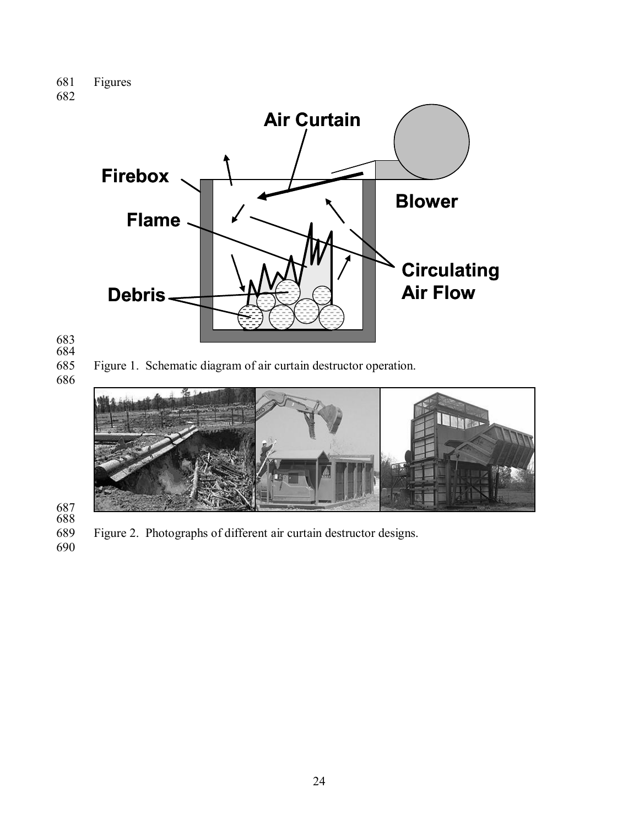



- 683 684
- Figure 1. Schematic diagram of air curtain destructor operation. 685
- 686



Figure 2. Photographs of different air curtain destructor designs. 689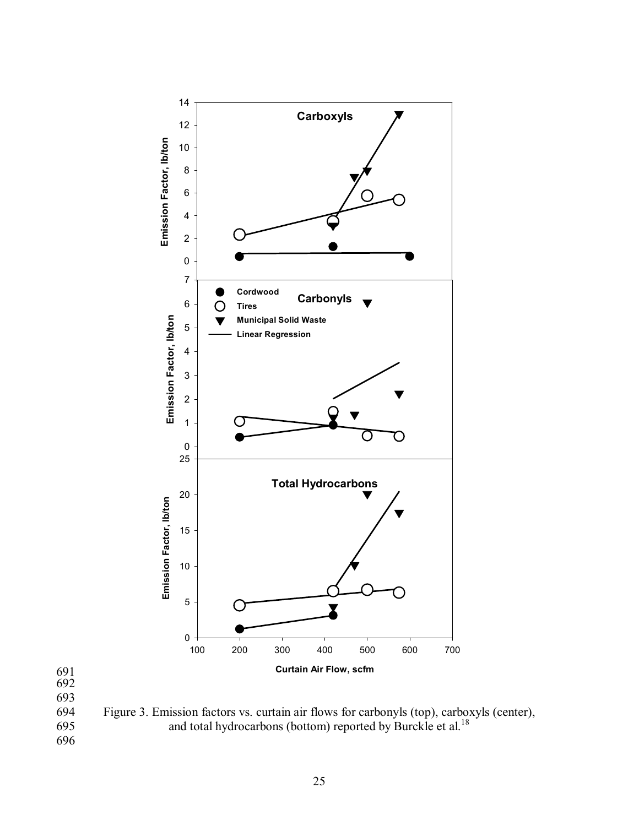



Figure 3. Emission factors vs. curtain air flows for carbonyls (top), carboxyls (center), and total hydrocarbons (bottom) reported by Burckle et al. $^{18}$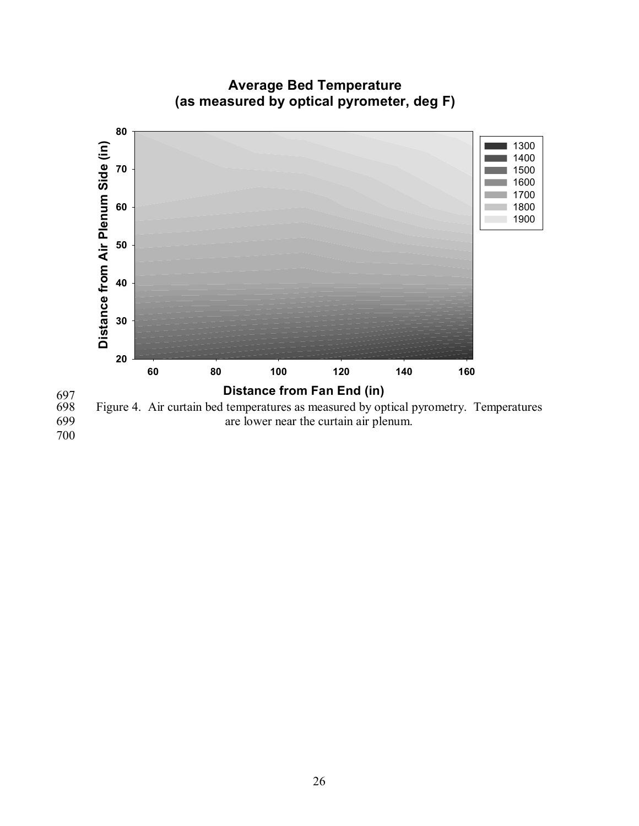

# **Average Bed Temperature (as measured by optical pyrometer, deg F)**